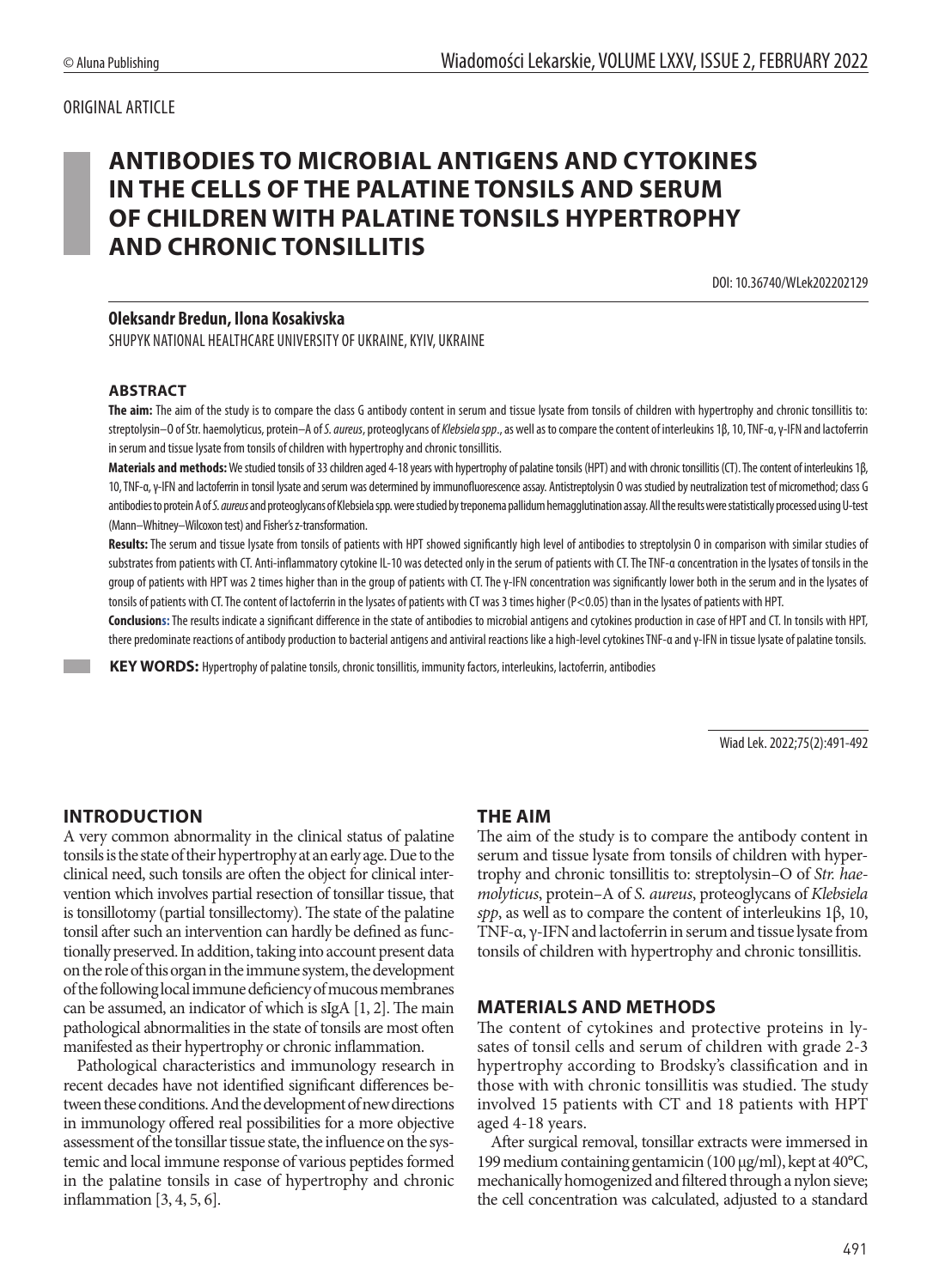## ORIGINAL ARTICLE

# **ANTIBODIES TO MICROBIAL ANTIGENS AND CYTOKINES IN THE CELLS OF THE PALATINE TONSILS AND SERUM OF CHILDREN WITH PALATINE TONSILS HYPERTROPHY AND CHRONIC TONSILLITIS**

DOI: 10.36740/WLek202202129

#### **Oleksandr Bredun, Ilona Kosakivska**

SHUPYK NATIONAL HEALTHCARE UNIVERSITY OF UKRAINE, KYIV, UKRAINE

#### **ABSTRACT**

**The aim:** The aim of the study is to compare the class G antibody content in serum and tissue lysate from tonsils of children with hypertrophy and chronic tonsillitis to: streptolysin–O of Str. haemolyticus, protein–A of *S. aureus*, proteoglycans of *Klebsiela spp*., as well as to compare the content of interleukins 1β, 10, TNF-α, γ-IFN and lactoferrin in serum and tissue lysate from tonsils of children with hypertrophy and chronic tonsillitis.

**Materials and methods:** We studied tonsils of 33 children aged 4-18 years with hypertrophy of palatine tonsils (HPT) and with chronic tonsillitis (CT). The content of interleukins 1β, 10, TNF-α, γ-IFN and lactoferrin in tonsil lysate and serum was determined by immunofluorescence assay. Antistreptolysin O was studied by neutralization test of micromethod; class G antibodies to protein A of S. aureus and proteoglycans of Klebsiela spp. were studied by treponema pallidum hemagglutination assay. All the results were statistically processed using U-test (Mann–Whitney–Wilcoxon test) and Fisher's z-transformation.

**Results:** The serum and tissue lysate from tonsils of patients with HPT showed significantly high level of antibodies to streptolysin O in comparison with similar studies of substrates from patients with CT. Anti-inflammatory cytokine IL-10 was detected only in the serum of patients with CT. The TNF-a concentration in the lysates of tonsils in the group of patients with HPT was 2 times higher than in the group of patients with CT. The γ-IFN concentration was significantly lower both in the serum and in the lysates of tonsils of patients with CT. The content of lactoferrin in the lysates of patients with CT was 3 times higher (P<0.05) than in the lysates of patients with HPT.

**Conclusions:**The results indicate a significant difference in the state of antibodies to microbial antigens and cytokines production in case of HPT and CT. In tonsils with HPT, there predominate reactions of antibody production to bacterial antigens and antiviral reactions like a high-level cytokines TNF-α and γ-IFN in tissue lysate of palatine tonsils.

 **KEY WORDS:** Hypertrophy of palatine tonsils, chronic tonsillitis, immunity factors, interleukins, lactoferrin, antibodies

Wiad Lek. 2022;75(2):491-492

### **INTRODUCTION**

A very common abnormality in the clinical status of palatine tonsils is the state of their hypertrophy at an early age. Due to the clinical need, such tonsils are often the object for clinical intervention which involves partial resection of tonsillar tissue, that is tonsillotomy (partial tonsillectomy). The state of the palatine tonsil after such an intervention can hardly be defined as functionally preserved. In addition, taking into account present data on the role of this organ in the immune system, the development of the following local immune deficiency of mucous membranes can be assumed, an indicator of which is sIgA [1, 2]. The main pathological abnormalities in the state of tonsils are most often manifested as their hypertrophy or chronic inflammation.

Pathological characteristics and immunology research in recent decades have not identified significant differences between these conditions. And the development of new directions in immunology offered real possibilities for a more objective assessment of the tonsillar tissue state, the influence on the systemic and local immune response of various peptides formed in the palatine tonsils in case of hypertrophy and chronic inflammation [3, 4, 5, 6].

### **THE AIM**

The aim of the study is to compare the antibody content in serum and tissue lysate from tonsils of children with hypertrophy and chronic tonsillitis to: streptolysin–O of *Str. haemolyticus*, protein–A of *S. aureus*, proteoglycans of *Klebsiela spp*, as well as to compare the content of interleukins 1β, 10, TNF-α, γ-IFN and lactoferrin in serum and tissue lysate from tonsils of children with hypertrophy and chronic tonsillitis.

### **MATERIALS AND METHODS**

The content of cytokines and protective proteins in lysates of tonsil cells and serum of children with grade 2-3 hypertrophy according to Brodsky's classification and in those with with chronic tonsillitis was studied. The study involved 15 patients with CT and 18 patients with HPT aged 4-18 years.

After surgical removal, tonsillar extracts were immersed in 199 medium containing gentamicin (100 μg/ml), kept at 40°C, mechanically homogenized and filtered through a nylon sieve; the cell concentration was calculated, adjusted to a standard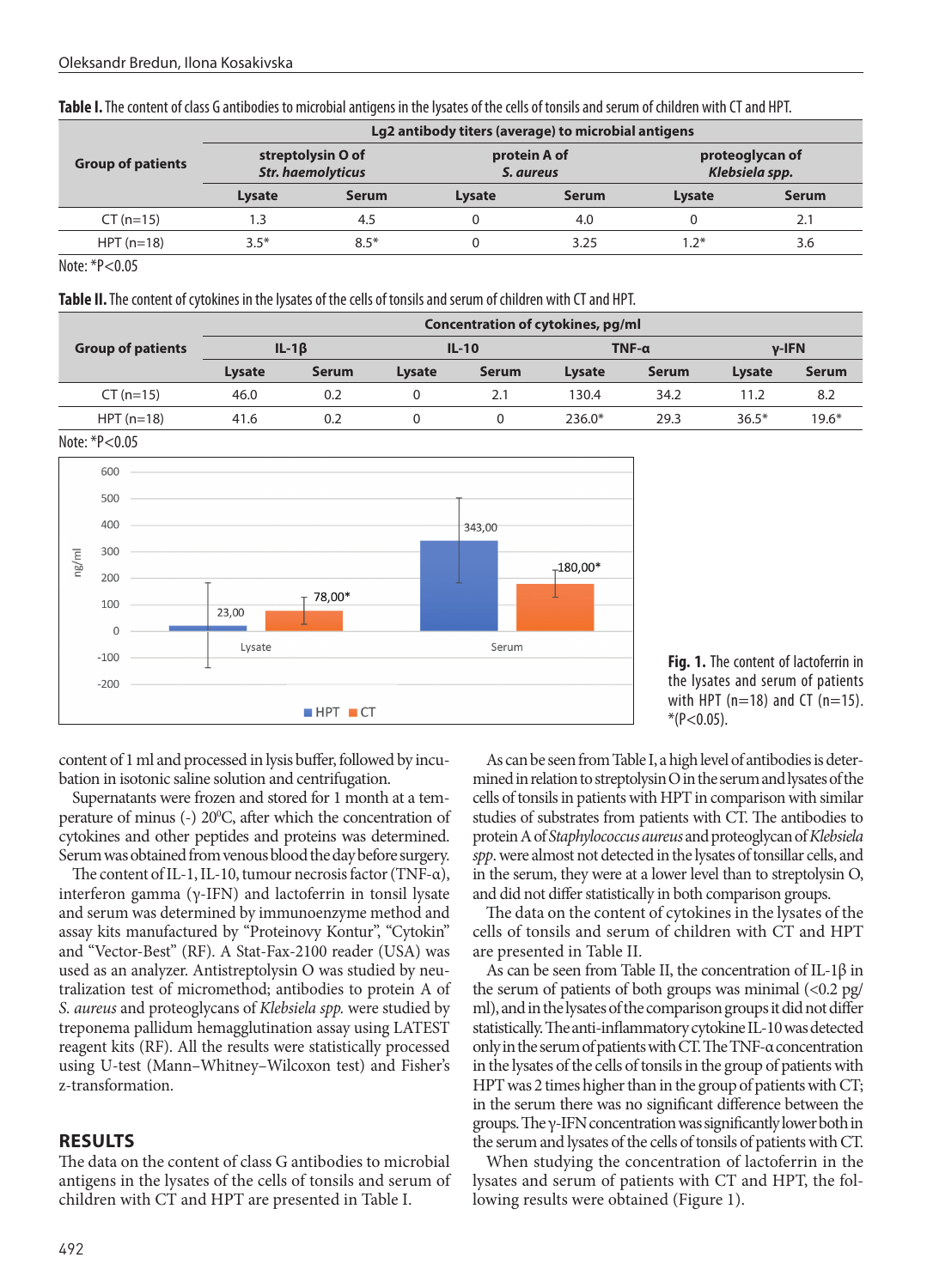| <b>Group of patients</b> | Lg2 antibody titers (average) to microbial antigens |              |                           |              |                                   |       |  |  |  |
|--------------------------|-----------------------------------------------------|--------------|---------------------------|--------------|-----------------------------------|-------|--|--|--|
|                          | streptolysin O of<br><b>Str. haemolyticus</b>       |              | protein A of<br>S. aureus |              | proteoglycan of<br>Klebsiela spp. |       |  |  |  |
|                          | Lysate                                              | <b>Serum</b> | Lysate                    | <b>Serum</b> | <b>Lysate</b>                     | Serum |  |  |  |
| $CT (n=15)$              | 1.3                                                 | 4.5          |                           | 4.0          |                                   | 2.1   |  |  |  |
| $HPT(n=18)$              | $3.5*$                                              | $8.5*$       |                           | 3.25         | 1 つ*                              | 3.6   |  |  |  |

Note: \*Р<0.05

**Table II.** The content of cytokines in the lysates of the cells of tonsils and serum of children with CT and HPT.

| <b>Group of patients</b> | Concentration of cytokines, pg/ml |              |         |              |              |              |               |              |  |  |  |
|--------------------------|-----------------------------------|--------------|---------|--------------|--------------|--------------|---------------|--------------|--|--|--|
|                          | $IL-1\beta$                       |              | $IL-10$ |              | $TNF-\alpha$ |              | $v-IFN$       |              |  |  |  |
|                          | Lysate                            | <b>Serum</b> | Lysate  | <b>Serum</b> | Lysate       | <b>Serum</b> | <b>Lysate</b> | <b>Serum</b> |  |  |  |
| $CT (n=15)$              | 46.0                              | 0.2          |         |              | 130.4        | 34.2         | 11.2          | 8.2          |  |  |  |
| $HPT(n=18)$              | 41.6                              | 0.2          |         |              | $236.0*$     | 29.3         | $36.5*$       | $19.6*$      |  |  |  |

Note: \*Р<0.05



**Fig. 1.** The content of lactoferrin in the lysates and serum of patients with HPT ( $n=18$ ) and CT ( $n=15$ ).  $*(P<0.05)$ .

content of 1 ml and processed in lysis buffer, followed by incubation in isotonic saline solution and centrifugation.

Supernatants were frozen and stored for 1 month at a temperature of minus (-) 20<sup>o</sup>C, after which the concentration of cytokines and other peptides and proteins was determined. Serum was obtained from venous blood the day before surgery.

The content of IL-1, IL-10, tumour necrosis factor (TNF-α), interferon gamma (γ-IFN) and lactoferrin in tonsil lysate and serum was determined by immunoenzyme method and assay kits manufactured by "Proteinovy Kontur", "Cytokin" and "Vector-Best" (RF). A Stat-Fax-2100 reader (USA) was used as an analyzer. Antistreptolysin O was studied by neutralization test of micromethod; antibodies to protein A of *S. aureus* and proteoglycans of *Klebsiela spp.* were studied by treponema pallidum hemagglutination assay using LATEST reagent kits (RF). All the results were statistically processed using U-test (Mann–Whitney–Wilcoxon test) and Fisher's z-transformation.

## **RESULTS**

The data on the content of class G antibodies to microbial antigens in the lysates of the cells of tonsils and serum of children with CT and HPT are presented in Table I.

As can be seen from Table I, a high level of antibodies is determined in relation to streptolysin O in the serum and lysates of the cells of tonsils in patients with HPT in comparison with similar studies of substrates from patients with CT. The antibodies to protein A of *Staphylococcus aureus* and proteoglycan of *Klebsiela spp*. were almost not detected in the lysates of tonsillar cells, and in the serum, they were at a lower level than to streptolysin O, and did not differ statistically in both comparison groups.

The data on the content of cytokines in the lysates of the cells of tonsils and serum of children with CT and HPT are presented in Table II.

As can be seen from Table II, the concentration of IL-1β in the serum of patients of both groups was minimal  $\langle$ <0.2 pg/ ml), and in the lysates of the comparison groups it did not differ statistically. The anti-inflammatory cytokine IL-10 was detected only in the serum of patients with CT. The TNF-α concentration in the lysates of the cells of tonsils in the group of patients with HPT was 2 times higher than in the group of patients with CT; in the serum there was no significant difference between the groups. The γ-IFN concentration was significantly lower both in the serum and lysates of the cells of tonsils of patients with CT.

When studying the concentration of lactoferrin in the lysates and serum of patients with CT and HPT, the following results were obtained (Figure 1).